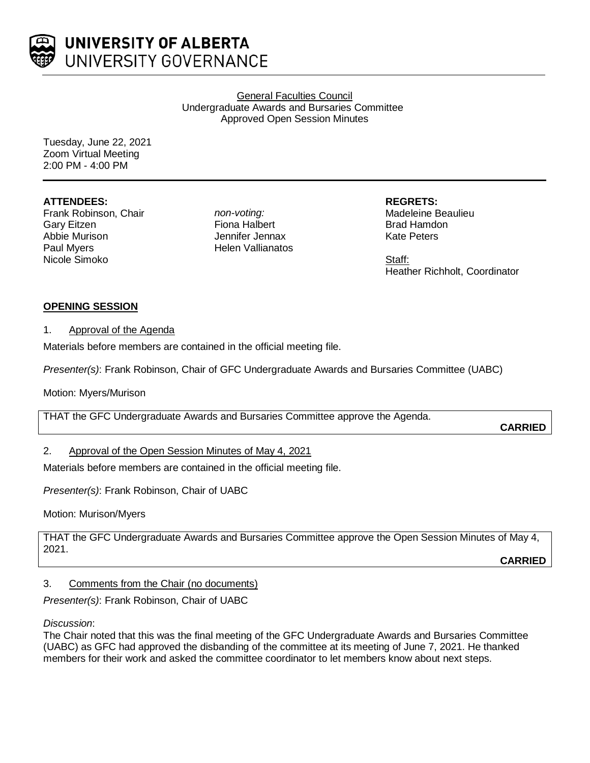

General Faculties Council Undergraduate Awards and Bursaries Committee Approved Open Session Minutes

Tuesday, June 22, 2021 Zoom Virtual Meeting 2:00 PM - 4:00 PM

## **ATTENDEES:**

Frank Robinson, Chair Gary Eitzen Abbie Murison Paul Myers Nicole Simoko

*non-voting:* Fiona Halbert Jennifer Jennax Helen Vallianatos **REGRETS:** Madeleine Beaulieu Brad Hamdon Kate Peters

Staff: Heather Richholt, Coordinator

# **OPENING SESSION**

## 1. Approval of the Agenda

Materials before members are contained in the official meeting file.

*Presenter(s)*: Frank Robinson, Chair of GFC Undergraduate Awards and Bursaries Committee (UABC)

Motion: Myers/Murison

THAT the GFC Undergraduate Awards and Bursaries Committee approve the Agenda.

**CARRIED**

# 2. Approval of the Open Session Minutes of May 4, 2021

Materials before members are contained in the official meeting file.

*Presenter(s)*: Frank Robinson, Chair of UABC

Motion: Murison/Myers

THAT the GFC Undergraduate Awards and Bursaries Committee approve the Open Session Minutes of May 4, 2021.

**CARRIED**

# 3. Comments from the Chair (no documents)

*Presenter(s)*: Frank Robinson, Chair of UABC

*Discussion*:

The Chair noted that this was the final meeting of the GFC Undergraduate Awards and Bursaries Committee (UABC) as GFC had approved the disbanding of the committee at its meeting of June 7, 2021. He thanked members for their work and asked the committee coordinator to let members know about next steps.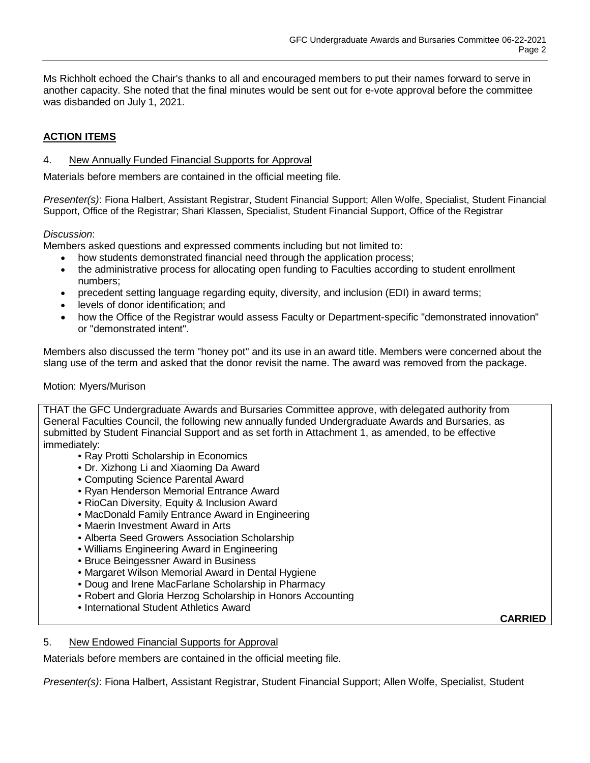Ms Richholt echoed the Chair's thanks to all and encouraged members to put their names forward to serve in another capacity. She noted that the final minutes would be sent out for e-vote approval before the committee was disbanded on July 1, 2021.

## **ACTION ITEMS**

### 4. New Annually Funded Financial Supports for Approval

Materials before members are contained in the official meeting file.

*Presenter(s)*: Fiona Halbert, Assistant Registrar, Student Financial Support; Allen Wolfe, Specialist, Student Financial Support, Office of the Registrar; Shari Klassen, Specialist, Student Financial Support, Office of the Registrar

#### *Discussion*:

Members asked questions and expressed comments including but not limited to:

- how students demonstrated financial need through the application process;
- the administrative process for allocating open funding to Faculties according to student enrollment numbers;
- precedent setting language regarding equity, diversity, and inclusion (EDI) in award terms;
- levels of donor identification; and
- how the Office of the Registrar would assess Faculty or Department-specific "demonstrated innovation" or "demonstrated intent".

Members also discussed the term "honey pot" and its use in an award title. Members were concerned about the slang use of the term and asked that the donor revisit the name. The award was removed from the package.

#### Motion: Myers/Murison

THAT the GFC Undergraduate Awards and Bursaries Committee approve, with delegated authority from General Faculties Council, the following new annually funded Undergraduate Awards and Bursaries, as submitted by Student Financial Support and as set forth in Attachment 1, as amended, to be effective immediately:

- Ray Protti Scholarship in Economics
- Dr. Xizhong Li and Xiaoming Da Award
- Computing Science Parental Award
- Ryan Henderson Memorial Entrance Award
- RioCan Diversity, Equity & Inclusion Award
- MacDonald Family Entrance Award in Engineering
- Maerin Investment Award in Arts
- Alberta Seed Growers Association Scholarship
- Williams Engineering Award in Engineering
- Bruce Beingessner Award in Business
- Margaret Wilson Memorial Award in Dental Hygiene
- Doug and Irene MacFarlane Scholarship in Pharmacy
- Robert and Gloria Herzog Scholarship in Honors Accounting
- International Student Athletics Award

**CARRIED**

#### 5. New Endowed Financial Supports for Approval

Materials before members are contained in the official meeting file.

*Presenter(s)*: Fiona Halbert, Assistant Registrar, Student Financial Support; Allen Wolfe, Specialist, Student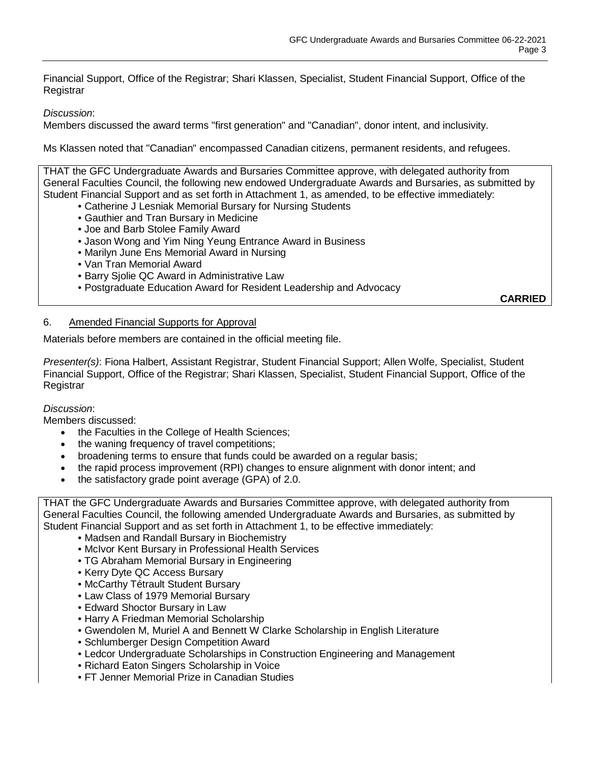Financial Support, Office of the Registrar; Shari Klassen, Specialist, Student Financial Support, Office of the **Registrar** 

*Discussion*:

Members discussed the award terms "first generation" and "Canadian", donor intent, and inclusivity.

Ms Klassen noted that "Canadian" encompassed Canadian citizens, permanent residents, and refugees.

THAT the GFC Undergraduate Awards and Bursaries Committee approve, with delegated authority from General Faculties Council, the following new endowed Undergraduate Awards and Bursaries, as submitted by Student Financial Support and as set forth in Attachment 1, as amended, to be effective immediately:

- Catherine J Lesniak Memorial Bursary for Nursing Students
- Gauthier and Tran Bursary in Medicine
- Joe and Barb Stolee Family Award
- Jason Wong and Yim Ning Yeung Entrance Award in Business
- Marilyn June Ens Memorial Award in Nursing
- Van Tran Memorial Award
- Barry Sjolie QC Award in Administrative Law
- Postgraduate Education Award for Resident Leadership and Advocacy

**CARRIED**

## 6. Amended Financial Supports for Approval

Materials before members are contained in the official meeting file.

*Presenter(s)*: Fiona Halbert, Assistant Registrar, Student Financial Support; Allen Wolfe, Specialist, Student Financial Support, Office of the Registrar; Shari Klassen, Specialist, Student Financial Support, Office of the **Registrar** 

## *Discussion*:

Members discussed:

- the Faculties in the College of Health Sciences;
- the waning frequency of travel competitions;
- broadening terms to ensure that funds could be awarded on a regular basis;
- the rapid process improvement (RPI) changes to ensure alignment with donor intent; and
- the satisfactory grade point average (GPA) of 2.0.

THAT the GFC Undergraduate Awards and Bursaries Committee approve, with delegated authority from General Faculties Council, the following amended Undergraduate Awards and Bursaries, as submitted by Student Financial Support and as set forth in Attachment 1, to be effective immediately:

- Madsen and Randall Bursary in Biochemistry
- McIvor Kent Bursary in Professional Health Services
- TG Abraham Memorial Bursary in Engineering
- Kerry Dyte QC Access Bursary
- McCarthy Tétrault Student Bursary
- Law Class of 1979 Memorial Bursary
- Edward Shoctor Bursary in Law
- Harry A Friedman Memorial Scholarship
- Gwendolen M, Muriel A and Bennett W Clarke Scholarship in English Literature
- Schlumberger Design Competition Award
- Ledcor Undergraduate Scholarships in Construction Engineering and Management
- Richard Eaton Singers Scholarship in Voice
- FT Jenner Memorial Prize in Canadian Studies